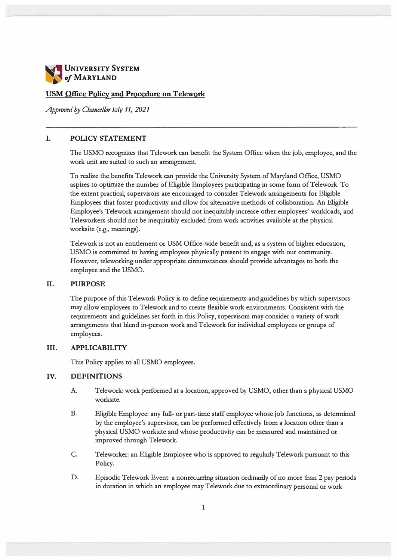

## **USM Office Policy and Procedure on Telework**

*Approved by Chancellor July 11, 2021* 

### **I. POLICY STATEMENT**

**The USMO recognizes that Telework can benefit the System Office when the job, employee, and the work unit are suited to such an arrangement.**

**To realize the benefits Telework can provide the University System of Maryland Office, USMO aspires to optimize the number of Eligible Employees participating in some form ofTelework. To the extent practical, supervisors are encouraged to consider Telework arrangements for Eligible Employees that foster productivity and allow for alternative methods of collaboration. An Eligible Employee's Telework arrangement should not inequitably increase other employees' workloads, and Teleworkers should not be inequitably excluded from work activities available at the physical worksite (e.g., meetings).**

**Telework is not an entitlement or USM Office-wide benefit and, as a system of higher education, USMO is committed to having employees physically present to engage with our community. However, teleworking under appropriate circumstances should provide advantages to both the employee and the USMO.**

### **II. PURPOSE**

**The purpose of this Telework Policy is to define requirements and guidelines by which supervisors may allow employees to Telework and to create flexible work environments. Consistent with the requirements and guidelines set forth in this Policy, supervisors may consider a variety of work arrangements that blend in-person work and Telework for individual employees or groups of employees.**

## **III. APPLICABILITY**

**This Policy applies to all USMO employees.**

# **IV. DEFINITIONS**

- **A. Telework: work performed at a location, approved by USMO, other than a physical USMO worksite.**
- **B. Eligible Employee: any full- or part-time staff employee whose job functions, as determined by the employee's supervisor, can be performed effectively from a location other than a physical USMO worksite and whose productivity can be measured and maintained or improved through Telework.**
- **C. Teleworker: an Eligible Employee who is approved to regularly Telework pursuant to this Policy.**
- **D. Episodic Telework Event: a nonrecurring situation ordinarily of no more than 2 pay periods in duration in which an employee may Telework due to extraordinary personal or work**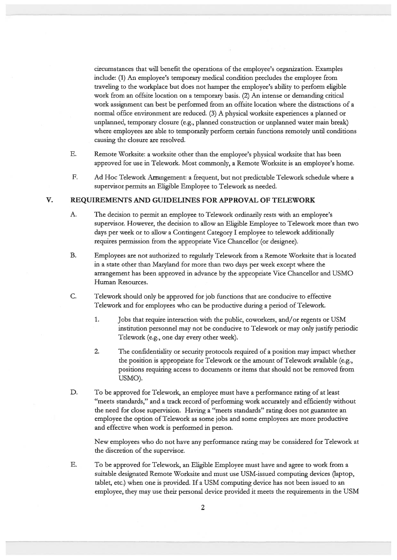circumstances that will benefit the operations of the employee's organization. Examples include: (1) An employee's temporary medical condition precludes the employee from traveling to the workplace but does not hamper the employee's ability to perform eligible work from an offsite location on a temporary basis. (2) An intense or demanding critical work assignment can best be performed from an offsite location where the distractions of a normal office environment are reduced. (3) A physical worksite experiences a planned or unplanned, temporary closure (e.g., planned construction or unplanned water main break) where employees are able to temporarily perform certain functions remotely until conditions causing the closure are resolved.

- E. Remote Worksite: a worksite other than the employee's physical worksite that has been approved for use in Telework. Most commonly, a Remote Worksite is an employee's home.
- $F<sub>r</sub>$ Ad Hoc Telework Arrangement: a frequent, but not predictable Telework schedule where a supervisor permits an Eligible Employee to Telework as needed.

#### V. REQUIREMENTS AND GUIDELINES FOR APPROVAL OF TELEWORK

- A. The decision to permit an employee to Telework ordinarily rests with an employee's supervisor. However, the decision to allow an Eligible Employee to Telework more than two days per week or to allow a Contingent Category I employee to telework additionally requires permission from the appropriate Vice Chancellor (or designee).
- **B.** Employees are not authorized to regularly Telework from a Remote Worksite that is located in a state other than Maryland for more than two days per week except where the arrangement has been approved in advance by the appropriate Vice Chancellor and USMO Human Resources.
- C. Telework should only be approved for job functions that are conducive to effective Telework and for employees who can be productive during a period of Telework.
	- 1. Jobs that require interaction with the public, coworkers, and/or regents or USM institution personnel may not be conducive to Telework or may only justify periodic Telework (e.g., one day every other week).
	- $2.$ The confidentiality or security protocols required of a position may impact whether the position is appropriate for Telework or the amount of Telework available (e.g., positions requiring access to documents or items that should not be removed from USMO).
- D. To be approved for Telework, an employee must have a performance rating of at least "meets standards," and a track record of performing work accurately and efficiently without the need for close supervision. Having a "meets standards" rating does not guarantee an employee the option of Telework as some jobs and some employees are more productive and effective when work is performed in person.

New employees who do not have any performance rating may be considered for Telework at the discretion of the supervisor.

E. To be approved for Telework, an Eligible Employee must have and agree to work from a suitable designated Remote Worksite and must use USM-issued computing devices (laptop, tablet, etc.) when one is provided. If a USM computing device has not been issued to an employee, they may use their personal device provided it meets the requirements in the USM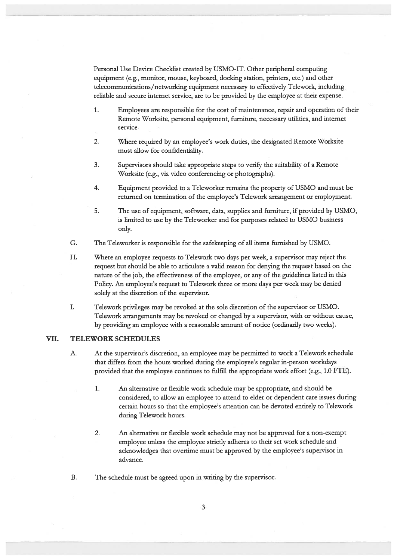Personal Use Device Checklist created by USMO-IT. Other peripheral computing equipment (e.g., monitor, mouse, keyboard, docking station, printers, etc.) and other telecommunications/networking equipment necessary to effectively Telework, including reliable and secure internet service, are to be provided by the employee at their expense.

- 1. Employees are responsible for the cost of maintenance, repair and operation of their Remote Worksite, personal equipment, furniture, necessary utilities, and internet service.
- $2.$ Where required by an employee's work duties, the designated Remote Worksite must allow for confidentiality.
- $3.$ Supervisors should take appropriate steps to verify the suitability of a Remote Worksite (e.g., via video conferencing or photographs).
- $4.$ Equipment provided to a Teleworker remains the property of USMO and must be returned on termination of the employee's Telework arrangement or employment.
- 5. The use of equipment, software, data, supplies and furniture, if provided by USMO, is limited to use by the Teleworker and for purposes related to USMO business only.
- G. The Teleworker is responsible for the safekeeping of all items furnished by USMO.
- H. Where an employee requests to Telework two days per week, a supervisor may reject the request but should be able to articulate a valid reason for denying the request based on the nature of the job, the effectiveness of the employee, or any of the guidelines listed in this Policy. An employee's request to Telework three or more days per week may be denied solely at the discretion of the supervisor.
- I. Telework privileges may be revoked at the sole discretion of the supervisor or USMO. Telework arrangements may be revoked or changed by a supervisor, with or without cause, by providing an employee with a reasonable amount of notice (ordinarily two weeks).

#### VII. **TELEWORK SCHEDULES**

- A. At the supervisor's discretion, an employee may be permitted to work a Telework schedule that differs from the hours worked during the employee's regular in-person workdays provided that the employee continues to fulfill the appropriate work effort (e.g., 1.0 FTE).
	- $1.$ An alternative or flexible work schedule may be appropriate, and should be considered, to allow an employee to attend to elder or dependent care issues during certain hours so that the employee's attention can be devoted entirely to Telework during Telework hours.
	- $\overline{2}$ . An alternative or flexible work schedule may not be approved for a non-exempt employee unless the employee strictly adheres to their set work schedule and acknowledges that overtime must be approved by the employee's supervisor in advance.
- $B.$ The schedule must be agreed upon in writing by the supervisor.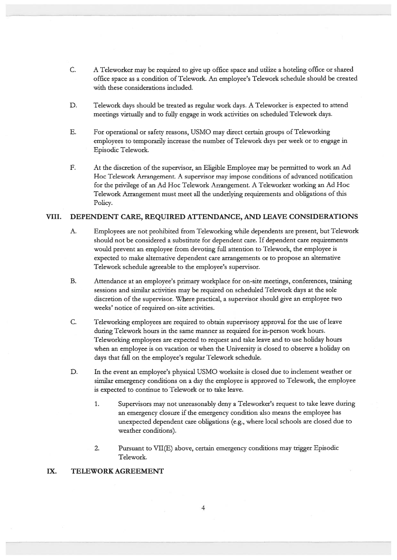- C. A Teleworker may be required to give up office space and utilize a hoteling office or shared office space as a condition of Telework. An employee's Telework schedule should be created with these considerations included.
- D. Telework days should be treated as regular work days. A Teleworker is expected to attend meetings virtually and to fully engage in work activities on scheduled Telework days.
- E. For operational or safety reasons, USMO may direct certain groups of Teleworking employees to temporarily increase the number of Telework days per week or to engage in Episodic Telework.
- $F.$ At the discretion of the supervisor, an Eligible Employee may be permitted to work an Ad Hoc Telework Arrangement. A supervisor may impose conditions of advanced notification for the privilege of an Ad Hoc Telework Arrangement. A Teleworker working an Ad Hoc Telework Arrangement must meet all the underlying requirements and obligations of this Policy.

#### VIII. DEPENDENT CARE, REQUIRED ATTENDANCE, AND LEAVE CONSIDERATIONS

- $A$ . Employees are not prohibited from Teleworking while dependents are present, but Telework should not be considered a substitute for dependent care. If dependent care requirements would prevent an employee from devoting full attention to Telework, the employee is expected to make alternative dependent care arrangements or to propose an alternative Telework schedule agreeable to the employee's supervisor.
- **B.** Attendance at an employee's primary workplace for on-site meetings, conferences, training sessions and similar activities may be required on scheduled Telework days at the sole discretion of the supervisor. Where practical, a supervisor should give an employee two weeks' notice of required on-site activities.
- C. Teleworking employees are required to obtain supervisory approval for the use of leave during Telework hours in the same manner as required for in-person work hours. Teleworking employees are expected to request and take leave and to use holiday hours when an employee is on vacation or when the University is closed to observe a holiday on days that fall on the employee's regular Telework schedule.
- D. In the event an employee's physical USMO worksite is closed due to inclement weather or similar emergency conditions on a day the employee is approved to Telework, the employee is expected to continue to Telework or to take leave.
	- $1.$ Supervisors may not unreasonably deny a Teleworker's request to take leave during an emergency closure if the emergency condition also means the employee has unexpected dependent care obligations (e.g., where local schools are closed due to weather conditions).
	- $2.$ Pursuant to VII(E) above, certain emergency conditions may trigger Episodic Telework.

#### IX. **TELEWORK AGREEMENT**